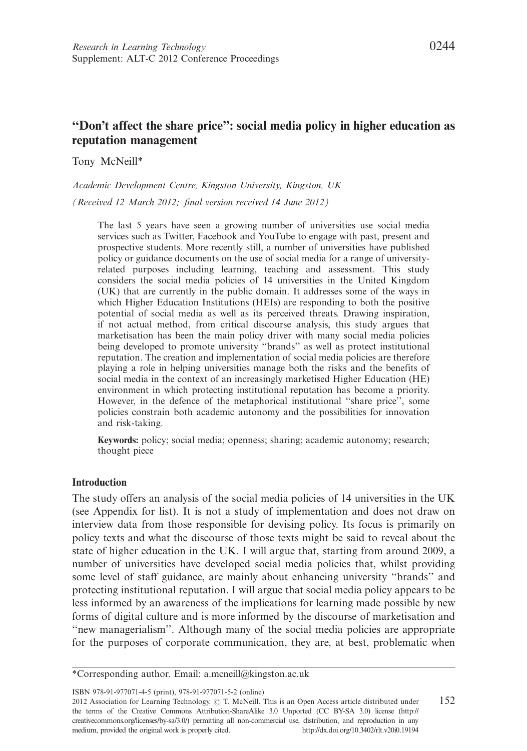# ''Don't affect the share price'': social media policy in higher education as reputation management

Tony McNeill\*

Academic Development Centre, Kingston University, Kingston, UK

(Received 12 March 2012; final version received 14 June 2012)

The last 5 years have seen a growing number of universities use social media services such as Twitter, Facebook and YouTube to engage with past, present and prospective students. More recently still, a number of universities have published policy or guidance documents on the use of social media for a range of universityrelated purposes including learning, teaching and assessment. This study considers the social media policies of 14 universities in the United Kingdom (UK) that are currently in the public domain. It addresses some of the ways in which Higher Education Institutions (HEIs) are responding to both the positive potential of social media as well as its perceived threats. Drawing inspiration, if not actual method, from critical discourse analysis, this study argues that marketisation has been the main policy driver with many social media policies being developed to promote university ''brands'' as well as protect institutional reputation. The creation and implementation of social media policies are therefore playing a role in helping universities manage both the risks and the benefits of social media in the context of an increasingly marketised Higher Education (HE) environment in which protecting institutional reputation has become a priority. However, in the defence of the metaphorical institutional ''share price'', some policies constrain both academic autonomy and the possibilities for innovation and risk-taking.

Keywords: policy; social media; openness; sharing; academic autonomy; research; thought piece

### Introduction

The study offers an analysis of the social media policies of 14 universities in the UK (see Appendix for list). It is not a study of implementation and does not draw on interview data from those responsible for devising policy. Its focus is primarily on policy texts and what the discourse of those texts might be said to reveal about the state of higher education in the UK. I will argue that, starting from around 2009, a number of universities have developed social media policies that, whilst providing some level of staff guidance, are mainly about enhancing university ''brands'' and protecting institutional reputation. I will argue that social media policy appears to be less informed by an awareness of the implications for learning made possible by new forms of digital culture and is more informed by the discourse of marketisation and ''new managerialism''. Although many of the social media policies are appropriate for the purposes of corporate communication, they are, at best, problematic when

ISBN 978-91-977071-4-5 (print), 978-91-977071-5-2 (online)

2012 Association for Learning Technology.  $\odot$  T. McNeill. This is an Open Access article distributed under 152 the terms of the Creative Commons Attribution-ShareAlike 3.0 Unported (CC BY-SA 3.0) license (http:// creativecommons.org/licenses/by-sa/3.0/) permitting all non-commercial use, distribution, and reproduction in any medium, provided the original work is properly cited.<http://dx.doi.org/10.3402/rlt.v20i0.19194>

<sup>\*</sup>Corresponding author. Email: a.mcneill@kingston.ac.uk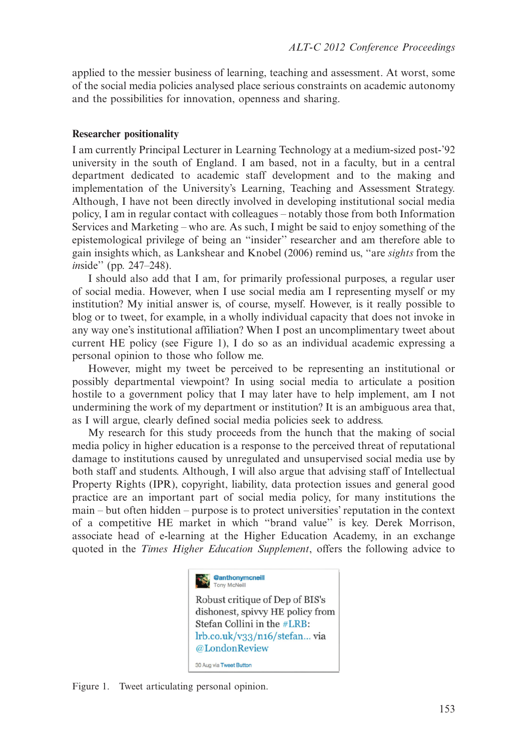applied to the messier business of learning, teaching and assessment. At worst, some of the social media policies analysed place serious constraints on academic autonomy and the possibilities for innovation, openness and sharing.

### Researcher positionality

I am currently Principal Lecturer in Learning Technology at a medium-sized post-'92 university in the south of England. I am based, not in a faculty, but in a central department dedicated to academic staff development and to the making and implementation of the University's Learning, Teaching and Assessment Strategy. Although, I have not been directly involved in developing institutional social media policy, I am in regular contact with colleagues – notably those from both Information Services and Marketing – who are. As such, I might be said to enjoy something of the epistemological privilege of being an ''insider'' researcher and am therefore able to gain insights which, as Lankshear and Knobel (2006) remind us, ''are sights from the *inside*" (pp. 247–248).

I should also add that I am, for primarily professional purposes, a regular user of social media. However, when I use social media am I representing myself or my institution? My initial answer is, of course, myself. However, is it really possible to blog or to tweet, for example, in a wholly individual capacity that does not invoke in any way one's institutional affiliation? When I post an uncomplimentary tweet about current HE policy (see Figure 1), I do so as an individual academic expressing a personal opinion to those who follow me.

However, might my tweet be perceived to be representing an institutional or possibly departmental viewpoint? In using social media to articulate a position hostile to a government policy that I may later have to help implement, am I not undermining the work of my department or institution? It is an ambiguous area that, as I will argue, clearly defined social media policies seek to address.

My research for this study proceeds from the hunch that the making of social media policy in higher education is a response to the perceived threat of reputational damage to institutions caused by unregulated and unsupervised social media use by both staff and students. Although, I will also argue that advising staff of Intellectual Property Rights (IPR), copyright, liability, data protection issues and general good practice are an important part of social media policy, for many institutions the main - but often hidden - purpose is to protect universities' reputation in the context of a competitive HE market in which ''brand value'' is key. Derek Morrison, associate head of e-learning at the Higher Education Academy, in an exchange quoted in the *Times Higher Education Supplement*, offers the following advice to



Figure 1. Tweet articulating personal opinion.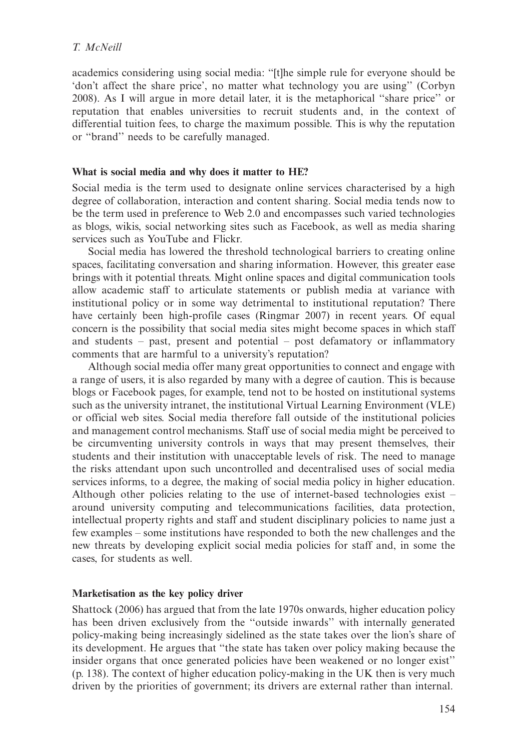### T. McNeill

academics considering using social media: ''[t]he simple rule for everyone should be 'don't affect the share price', no matter what technology you are using'' (Corbyn 2008). As I will argue in more detail later, it is the metaphorical ''share price'' or reputation that enables universities to recruit students and, in the context of differential tuition fees, to charge the maximum possible. This is why the reputation or ''brand'' needs to be carefully managed.

#### What is social media and why does it matter to HE?

Social media is the term used to designate online services characterised by a high degree of collaboration, interaction and content sharing. Social media tends now to be the term used in preference to Web 2.0 and encompasses such varied technologies as blogs, wikis, social networking sites such as Facebook, as well as media sharing services such as YouTube and Flickr.

Social media has lowered the threshold technological barriers to creating online spaces, facilitating conversation and sharing information. However, this greater ease brings with it potential threats. Might online spaces and digital communication tools allow academic staff to articulate statements or publish media at variance with institutional policy or in some way detrimental to institutional reputation? There have certainly been high-profile cases (Ringmar 2007) in recent years. Of equal concern is the possibility that social media sites might become spaces in which staff and students – past, present and potential – post defamatory or inflammatory comments that are harmful to a university's reputation?

Although social media offer many great opportunities to connect and engage with a range of users, it is also regarded by many with a degree of caution. This is because blogs or Facebook pages, for example, tend not to be hosted on institutional systems such as the university intranet, the institutional Virtual Learning Environment (VLE) or official web sites. Social media therefore fall outside of the institutional policies and management control mechanisms. Staff use of social media might be perceived to be circumventing university controls in ways that may present themselves, their students and their institution with unacceptable levels of risk. The need to manage the risks attendant upon such uncontrolled and decentralised uses of social media services informs, to a degree, the making of social media policy in higher education. Although other policies relating to the use of internet-based technologies exist around university computing and telecommunications facilities, data protection, intellectual property rights and staff and student disciplinary policies to name just a few examples - some institutions have responded to both the new challenges and the new threats by developing explicit social media policies for staff and, in some the cases, for students as well.

### Marketisation as the key policy driver

Shattock (2006) has argued that from the late 1970s onwards, higher education policy has been driven exclusively from the ''outside inwards'' with internally generated policy-making being increasingly sidelined as the state takes over the lion's share of its development. He argues that ''the state has taken over policy making because the insider organs that once generated policies have been weakened or no longer exist'' (p. 138). The context of higher education policy-making in the UK then is very much driven by the priorities of government; its drivers are external rather than internal.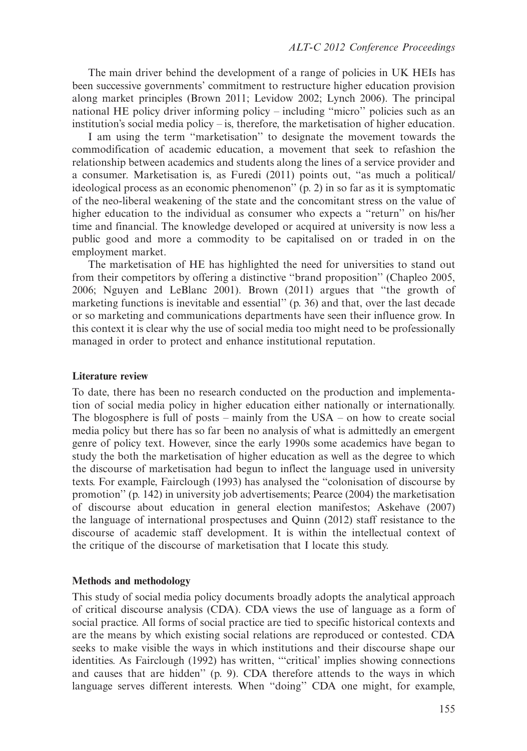The main driver behind the development of a range of policies in UK HEIs has been successive governments' commitment to restructure higher education provision along market principles (Brown 2011; Levidow 2002; Lynch 2006). The principal national HE policy driver informing policy - including ''micro'' policies such as an institution's social media policy - is, therefore, the marketisation of higher education.

I am using the term ''marketisation'' to designate the movement towards the commodification of academic education, a movement that seek to refashion the relationship between academics and students along the lines of a service provider and a consumer. Marketisation is, as Furedi (2011) points out, ''as much a political/ ideological process as an economic phenomenon'' (p. 2) in so far as it is symptomatic of the neo-liberal weakening of the state and the concomitant stress on the value of higher education to the individual as consumer who expects a ''return'' on his/her time and financial. The knowledge developed or acquired at university is now less a public good and more a commodity to be capitalised on or traded in on the employment market.

The marketisation of HE has highlighted the need for universities to stand out from their competitors by offering a distinctive ''brand proposition'' (Chapleo 2005, 2006; Nguyen and LeBlanc 2001). Brown (2011) argues that ''the growth of marketing functions is inevitable and essential'' (p. 36) and that, over the last decade or so marketing and communications departments have seen their influence grow. In this context it is clear why the use of social media too might need to be professionally managed in order to protect and enhance institutional reputation.

#### Literature review

To date, there has been no research conducted on the production and implementation of social media policy in higher education either nationally or internationally. The blogosphere is full of posts – mainly from the USA – on how to create social media policy but there has so far been no analysis of what is admittedly an emergent genre of policy text. However, since the early 1990s some academics have began to study the both the marketisation of higher education as well as the degree to which the discourse of marketisation had begun to inflect the language used in university texts. For example, Fairclough (1993) has analysed the ''colonisation of discourse by promotion'' (p. 142) in university job advertisements; Pearce (2004) the marketisation of discourse about education in general election manifestos; Askehave (2007) the language of international prospectuses and Quinn (2012) staff resistance to the discourse of academic staff development. It is within the intellectual context of the critique of the discourse of marketisation that I locate this study.

#### Methods and methodology

This study of social media policy documents broadly adopts the analytical approach of critical discourse analysis (CDA). CDA views the use of language as a form of social practice. All forms of social practice are tied to specific historical contexts and are the means by which existing social relations are reproduced or contested. CDA seeks to make visible the ways in which institutions and their discourse shape our identities. As Fairclough (1992) has written, "'critical' implies showing connections and causes that are hidden'' (p. 9). CDA therefore attends to the ways in which language serves different interests. When ''doing'' CDA one might, for example,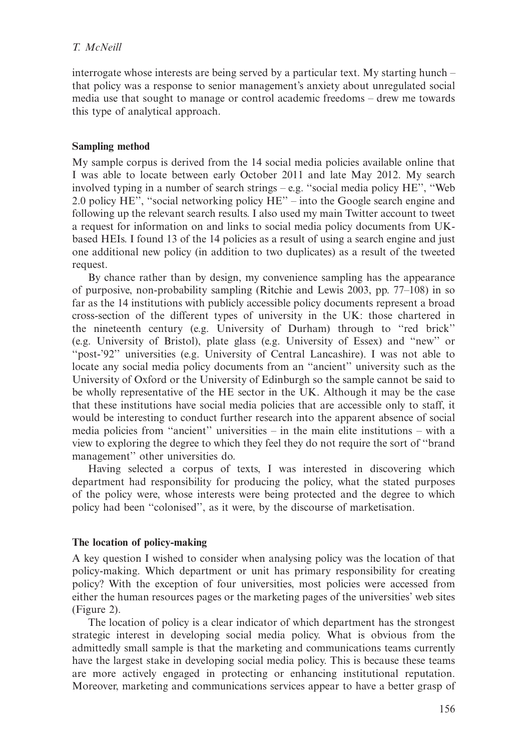## T. McNeill

interrogate whose interests are being served by a particular text. My starting hunch that policy was a response to senior management's anxiety about unregulated social media use that sought to manage or control academic freedoms - drew me towards this type of analytical approach.

### Sampling method

My sample corpus is derived from the 14 social media policies available online that I was able to locate between early October 2011 and late May 2012. My search involved typing in a number of search strings - e.g. ''social media policy HE'', ''Web 2.0 policy HE'', ''social networking policy HE'' - into the Google search engine and following up the relevant search results. I also used my main Twitter account to tweet a request for information on and links to social media policy documents from UKbased HEIs. I found 13 of the 14 policies as a result of using a search engine and just one additional new policy (in addition to two duplicates) as a result of the tweeted request.

By chance rather than by design, my convenience sampling has the appearance of purposive, non-probability sampling (Ritchie and Lewis 2003, pp. 77-108) in so far as the 14 institutions with publicly accessible policy documents represent a broad cross-section of the different types of university in the UK: those chartered in the nineteenth century (e.g. University of Durham) through to ''red brick'' (e.g. University of Bristol), plate glass (e.g. University of Essex) and ''new'' or ''post-'92'' universities (e.g. University of Central Lancashire). I was not able to locate any social media policy documents from an ''ancient'' university such as the University of Oxford or the University of Edinburgh so the sample cannot be said to be wholly representative of the HE sector in the UK. Although it may be the case that these institutions have social media policies that are accessible only to staff, it would be interesting to conduct further research into the apparent absence of social media policies from ''ancient'' universities - in the main elite institutions - with a view to exploring the degree to which they feel they do not require the sort of ''brand management'' other universities do.

Having selected a corpus of texts, I was interested in discovering which department had responsibility for producing the policy, what the stated purposes of the policy were, whose interests were being protected and the degree to which policy had been ''colonised'', as it were, by the discourse of marketisation.

## The location of policy-making

A key question I wished to consider when analysing policy was the location of that policy-making. Which department or unit has primary responsibility for creating policy? With the exception of four universities, most policies were accessed from either the human resources pages or the marketing pages of the universities' web sites (Figure 2).

The location of policy is a clear indicator of which department has the strongest strategic interest in developing social media policy. What is obvious from the admittedly small sample is that the marketing and communications teams currently have the largest stake in developing social media policy. This is because these teams are more actively engaged in protecting or enhancing institutional reputation. Moreover, marketing and communications services appear to have a better grasp of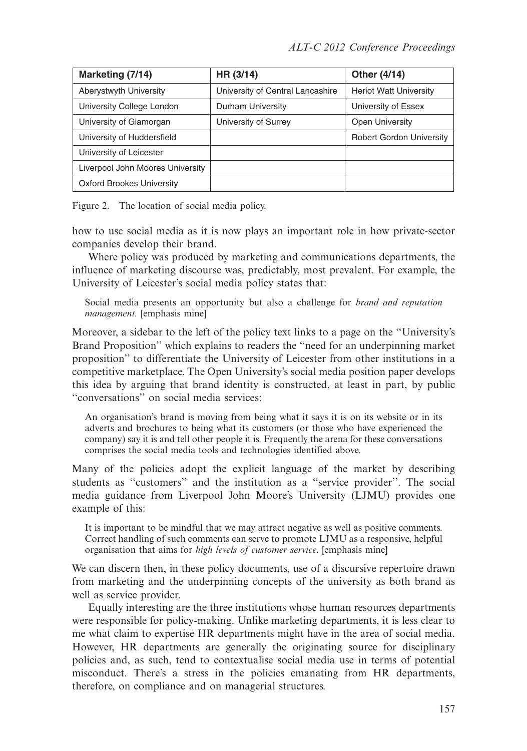| Marketing (7/14)                 | HR (3/14)                        | Other (4/14)                    |
|----------------------------------|----------------------------------|---------------------------------|
| Aberystwyth University           | University of Central Lancashire | <b>Heriot Watt University</b>   |
| University College London        | Durham University                | University of Essex             |
| University of Glamorgan          | University of Surrey             | Open University                 |
| University of Huddersfield       |                                  | <b>Robert Gordon University</b> |
| University of Leicester          |                                  |                                 |
| Liverpool John Moores University |                                  |                                 |
| <b>Oxford Brookes University</b> |                                  |                                 |

Figure 2. The location of social media policy.

how to use social media as it is now plays an important role in how private-sector companies develop their brand.

Where policy was produced by marketing and communications departments, the influence of marketing discourse was, predictably, most prevalent. For example, the University of Leicester's social media policy states that:

Social media presents an opportunity but also a challenge for brand and reputation management. [emphasis mine]

Moreover, a sidebar to the left of the policy text links to a page on the ''University's Brand Proposition'' which explains to readers the ''need for an underpinning market proposition'' to differentiate the University of Leicester from other institutions in a competitive marketplace. The Open University's social media position paper develops this idea by arguing that brand identity is constructed, at least in part, by public ''conversations'' on social media services:

An organisation's brand is moving from being what it says it is on its website or in its adverts and brochures to being what its customers (or those who have experienced the company) say it is and tell other people it is. Frequently the arena for these conversations comprises the social media tools and technologies identified above.

Many of the policies adopt the explicit language of the market by describing students as ''customers'' and the institution as a ''service provider''. The social media guidance from Liverpool John Moore's University (LJMU) provides one example of this:

It is important to be mindful that we may attract negative as well as positive comments. Correct handling of such comments can serve to promote LJMU as a responsive, helpful organisation that aims for high levels of customer service. [emphasis mine]

We can discern then, in these policy documents, use of a discursive repertoire drawn from marketing and the underpinning concepts of the university as both brand as well as service provider.

Equally interesting are the three institutions whose human resources departments were responsible for policy-making. Unlike marketing departments, it is less clear to me what claim to expertise HR departments might have in the area of social media. However, HR departments are generally the originating source for disciplinary policies and, as such, tend to contextualise social media use in terms of potential misconduct. There's a stress in the policies emanating from HR departments, therefore, on compliance and on managerial structures.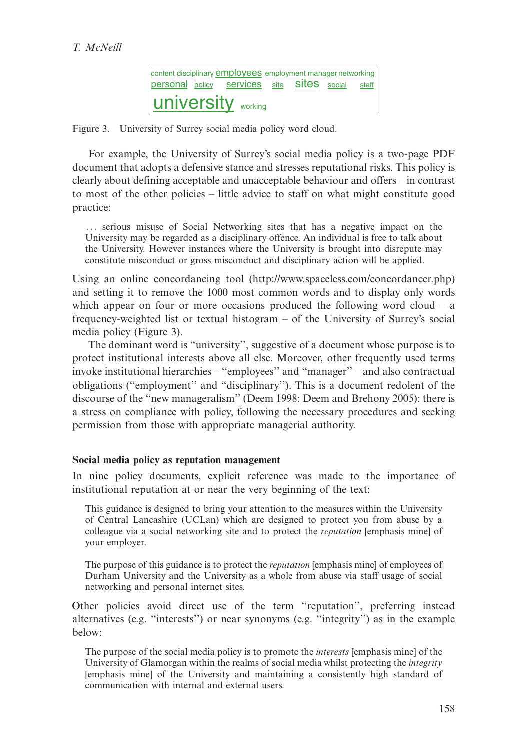| content disciplinary employees employment manager networking |  |  |  |  |       |  |  |
|--------------------------------------------------------------|--|--|--|--|-------|--|--|
| personal policy services site sites social                   |  |  |  |  | staff |  |  |
| <b>university</b> working                                    |  |  |  |  |       |  |  |

Figure 3. University of Surrey social media policy word cloud.

For example, the University of Surrey's social media policy is a two-page PDF document that adopts a defensive stance and stresses reputational risks. This policy is clearly about defining acceptable and unacceptable behaviour and offers - in contrast to most of the other policies - little advice to staff on what might constitute good practice:

... serious misuse of Social Networking sites that has a negative impact on the University may be regarded as a disciplinary offence. An individual is free to talk about the University. However instances where the University is brought into disrepute may constitute misconduct or gross misconduct and disciplinary action will be applied.

Using an online concordancing tool ([http://www.spaceless.com/concordancer.php\)](http://www.spaceless.com/concordancer.php) and setting it to remove the 1000 most common words and to display only words which appear on four or more occasions produced the following word cloud – a frequency-weighted list or textual histogram - of the University of Surrey's social media policy (Figure 3).

The dominant word is ''university'', suggestive of a document whose purpose is to protect institutional interests above all else. Moreover, other frequently used terms invoke institutional hierarchies – "employees" and "manager" – and also contractual obligations (''employment'' and ''disciplinary''). This is a document redolent of the discourse of the ''new manageralism'' (Deem 1998; Deem and Brehony 2005): there is a stress on compliance with policy, following the necessary procedures and seeking permission from those with appropriate managerial authority.

### Social media policy as reputation management

In nine policy documents, explicit reference was made to the importance of institutional reputation at or near the very beginning of the text:

This guidance is designed to bring your attention to the measures within the University of Central Lancashire (UCLan) which are designed to protect you from abuse by a colleague via a social networking site and to protect the reputation [emphasis mine] of your employer.

The purpose of this guidance is to protect the *reputation* [emphasis mine] of employees of Durham University and the University as a whole from abuse via staff usage of social networking and personal internet sites.

Other policies avoid direct use of the term ''reputation'', preferring instead alternatives (e.g. ''interests'') or near synonyms (e.g. ''integrity'') as in the example below:

The purpose of the social media policy is to promote the interests [emphasis mine] of the University of Glamorgan within the realms of social media whilst protecting the *integrity* [emphasis mine] of the University and maintaining a consistently high standard of communication with internal and external users.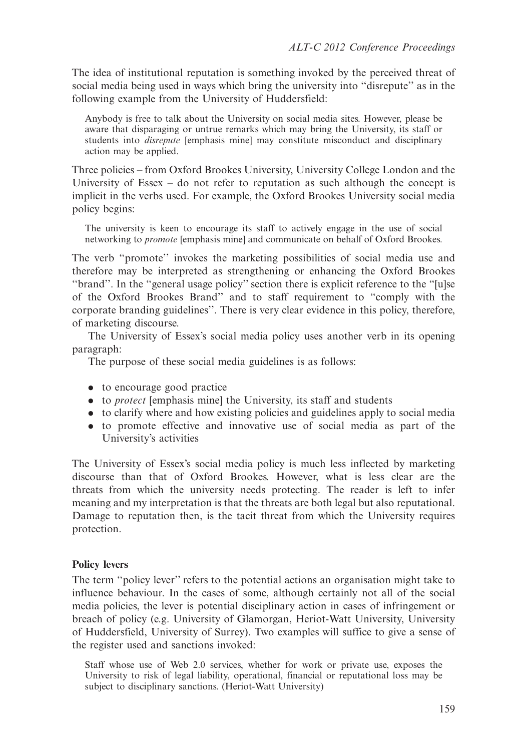The idea of institutional reputation is something invoked by the perceived threat of social media being used in ways which bring the university into ''disrepute'' as in the following example from the University of Huddersfield:

Anybody is free to talk about the University on social media sites. However, please be aware that disparaging or untrue remarks which may bring the University, its staff or students into disrepute [emphasis mine] may constitute misconduct and disciplinary action may be applied.

Three policies - from Oxford Brookes University, University College London and the University of Essex – do not refer to reputation as such although the concept is implicit in the verbs used. For example, the Oxford Brookes University social media policy begins:

The university is keen to encourage its staff to actively engage in the use of social networking to promote [emphasis mine] and communicate on behalf of Oxford Brookes.

The verb ''promote'' invokes the marketing possibilities of social media use and therefore may be interpreted as strengthening or enhancing the Oxford Brookes ''brand''. In the ''general usage policy'' section there is explicit reference to the ''[u]se of the Oxford Brookes Brand'' and to staff requirement to ''comply with the corporate branding guidelines''. There is very clear evidence in this policy, therefore, of marketing discourse.

The University of Essex's social media policy uses another verb in its opening paragraph:

The purpose of these social media guidelines is as follows:

- . to encourage good practice
- to *protect* [emphasis mine] the University, its staff and students
- . to clarify where and how existing policies and guidelines apply to social media
- . to promote effective and innovative use of social media as part of the University's activities

The University of Essex's social media policy is much less inflected by marketing discourse than that of Oxford Brookes. However, what is less clear are the threats from which the university needs protecting. The reader is left to infer meaning and my interpretation is that the threats are both legal but also reputational. Damage to reputation then, is the tacit threat from which the University requires protection.

### Policy levers

The term ''policy lever'' refers to the potential actions an organisation might take to influence behaviour. In the cases of some, although certainly not all of the social media policies, the lever is potential disciplinary action in cases of infringement or breach of policy (e.g. University of Glamorgan, Heriot-Watt University, University of Huddersfield, University of Surrey). Two examples will suffice to give a sense of the register used and sanctions invoked:

Staff whose use of Web 2.0 services, whether for work or private use, exposes the University to risk of legal liability, operational, financial or reputational loss may be subject to disciplinary sanctions. (Heriot-Watt University)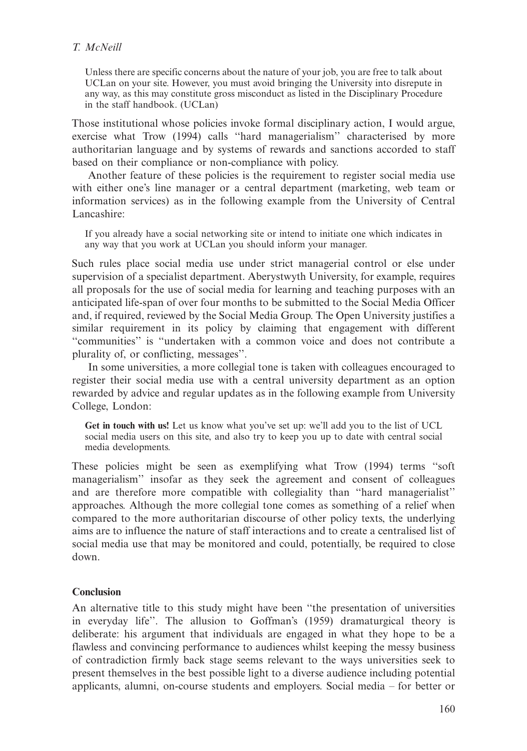### T. McNeill

Unless there are specific concerns about the nature of your job, you are free to talk about UCLan on your site. However, you must avoid bringing the University into disrepute in any way, as this may constitute gross misconduct as listed in the Disciplinary Procedure in the staff handbook. (UCLan)

Those institutional whose policies invoke formal disciplinary action, I would argue, exercise what Trow (1994) calls ''hard managerialism'' characterised by more authoritarian language and by systems of rewards and sanctions accorded to staff based on their compliance or non-compliance with policy.

Another feature of these policies is the requirement to register social media use with either one's line manager or a central department (marketing, web team or information services) as in the following example from the University of Central Lancashire:

If you already have a social networking site or intend to initiate one which indicates in any way that you work at UCLan you should inform your manager.

Such rules place social media use under strict managerial control or else under supervision of a specialist department. Aberystwyth University, for example, requires all proposals for the use of social media for learning and teaching purposes with an anticipated life-span of over four months to be submitted to the Social Media Officer and, if required, reviewed by the Social Media Group. The Open University justifies a similar requirement in its policy by claiming that engagement with different ''communities'' is ''undertaken with a common voice and does not contribute a plurality of, or conflicting, messages''.

In some universities, a more collegial tone is taken with colleagues encouraged to register their social media use with a central university department as an option rewarded by advice and regular updates as in the following example from University College, London:

Get in touch with us! Let us know what you've set up: we'll add you to the list of UCL social media users on this site, and also try to keep you up to date with central social media developments.

These policies might be seen as exemplifying what Trow (1994) terms ''soft managerialism'' insofar as they seek the agreement and consent of colleagues and are therefore more compatible with collegiality than ''hard managerialist'' approaches. Although the more collegial tone comes as something of a relief when compared to the more authoritarian discourse of other policy texts, the underlying aims are to influence the nature of staff interactions and to create a centralised list of social media use that may be monitored and could, potentially, be required to close down.

### **Conclusion**

An alternative title to this study might have been ''the presentation of universities in everyday life''. The allusion to Goffman's (1959) dramaturgical theory is deliberate: his argument that individuals are engaged in what they hope to be a flawless and convincing performance to audiences whilst keeping the messy business of contradiction firmly back stage seems relevant to the ways universities seek to present themselves in the best possible light to a diverse audience including potential applicants, alumni, on-course students and employers. Social media - for better or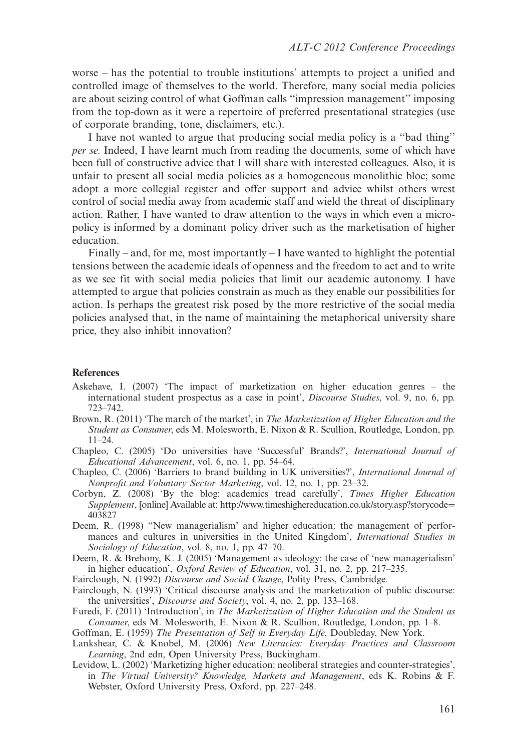worse - has the potential to trouble institutions' attempts to project a unified and controlled image of themselves to the world. Therefore, many social media policies are about seizing control of what Goffman calls ''impression management'' imposing from the top-down as it were a repertoire of preferred presentational strategies (use of corporate branding, tone, disclaimers, etc.).

I have not wanted to argue that producing social media policy is a ''bad thing'' per se. Indeed, I have learnt much from reading the documents, some of which have been full of constructive advice that I will share with interested colleagues. Also, it is unfair to present all social media policies as a homogeneous monolithic bloc; some adopt a more collegial register and offer support and advice whilst others wrest control of social media away from academic staff and wield the threat of disciplinary action. Rather, I have wanted to draw attention to the ways in which even a micropolicy is informed by a dominant policy driver such as the marketisation of higher education.

Finally – and, for me, most importantly – I have wanted to highlight the potential tensions between the academic ideals of openness and the freedom to act and to write as we see fit with social media policies that limit our academic autonomy. I have attempted to argue that policies constrain as much as they enable our possibilities for action. Is perhaps the greatest risk posed by the more restrictive of the social media policies analysed that, in the name of maintaining the metaphorical university share price, they also inhibit innovation?

#### References

- Askehave, I. (2007) 'The impact of marketization on higher education genres the international student prospectus as a case in point', Discourse Studies, vol. 9, no. 6, pp. 723-742.
- Brown, R. (2011) 'The march of the market', in The Marketization of Higher Education and the Student as Consumer, eds M. Molesworth, E. Nixon & R. Scullion, Routledge, London, pp. 11-24.
- Chapleo, C. (2005) 'Do universities have 'Successful' Brands?', International Journal of Educational Advancement, vol. 6, no. 1, pp. 54-64.
- Chapleo, C. (2006) 'Barriers to brand building in UK universities?', International Journal of Nonprofit and Voluntary Sector Marketing, vol. 12, no. 1, pp. 23-32.
- Corbyn, Z. (2008) 'By the blog: academics tread carefully', Times Higher Education Supplement, [online] Available at: [http://www.timeshighereducation.co.uk/story.asp?storycode](http://www.timeshighereducation.co.uk/story.asp?storycode=403827) [403827](http://www.timeshighereducation.co.uk/story.asp?storycode=403827)
- Deem, R. (1998) ''New managerialism' and higher education: the management of performances and cultures in universities in the United Kingdom', International Studies in Sociology of Education, vol. 8, no. 1, pp. 47-70.
- Deem, R. & Brehony, K. J. (2005) 'Management as ideology: the case of 'new managerialism' in higher education', Oxford Review of Education, vol. 31, no. 2, pp. 217-235.
- Fairclough, N. (1992) Discourse and Social Change, Polity Press, Cambridge.
- Fairclough, N. (1993) 'Critical discourse analysis and the marketization of public discourse: the universities', Discourse and Society, vol. 4, no. 2, pp. 133-168.
- Furedi, F. (2011) 'Introduction', in The Marketization of Higher Education and the Student as Consumer, eds M. Molesworth, E. Nixon & R. Scullion, Routledge, London, pp. 1-8.
- Goffman, E. (1959) The Presentation of Self in Everyday Life, Doubleday, New York.
- Lankshear, C. & Knobel, M. (2006) New Literacies: Everyday Practices and Classroom Learning, 2nd edn, Open University Press, Buckingham.
- Levidow, L. (2002) 'Marketizing higher education: neoliberal strategies and counter-strategies', in The Virtual University? Knowledge, Markets and Management, eds K. Robins & F. Webster, Oxford University Press, Oxford, pp. 227-248.